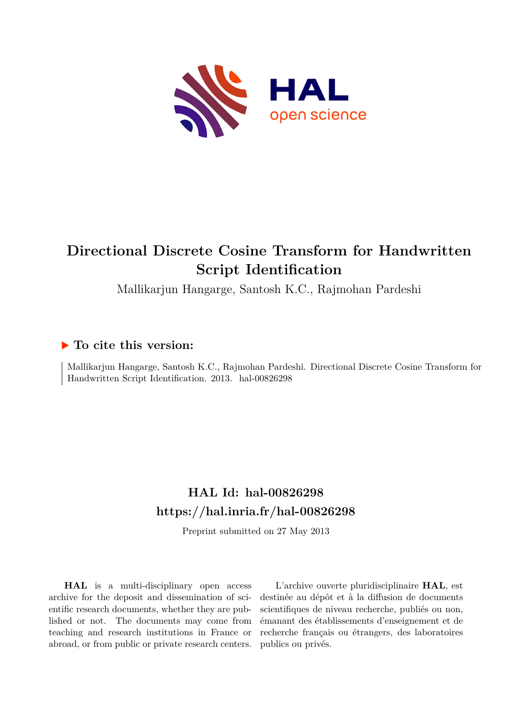

## **Directional Discrete Cosine Transform for Handwritten Script Identification**

Mallikarjun Hangarge, Santosh K.C., Rajmohan Pardeshi

### **To cite this version:**

Mallikarjun Hangarge, Santosh K.C., Rajmohan Pardeshi. Directional Discrete Cosine Transform for Handwritten Script Identification. 2013. hal-00826298

## **HAL Id: hal-00826298 <https://hal.inria.fr/hal-00826298>**

Preprint submitted on 27 May 2013

**HAL** is a multi-disciplinary open access archive for the deposit and dissemination of scientific research documents, whether they are published or not. The documents may come from teaching and research institutions in France or abroad, or from public or private research centers.

L'archive ouverte pluridisciplinaire **HAL**, est destinée au dépôt et à la diffusion de documents scientifiques de niveau recherche, publiés ou non, émanant des établissements d'enseignement et de recherche français ou étrangers, des laboratoires publics ou privés.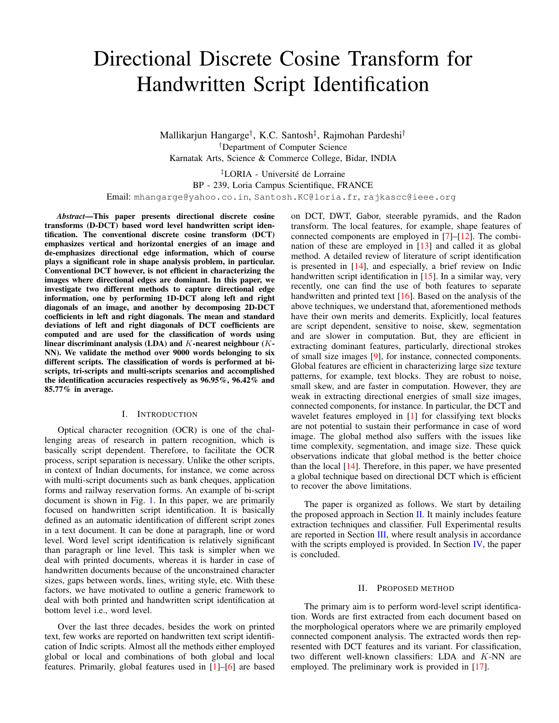# Directional Discrete Cosine Transform for Handwritten Script Identification

Mallikarjun Hangarge† , K.C. Santosh‡ , Rajmohan Pardeshi† †Department of Computer Science Karnatak Arts, Science & Commerce College, Bidar, INDIA

‡LORIA - Universite de Lorraine ´ BP - 239, Loria Campus Scientifique, FRANCE Email: mhangarge@yahoo.co.in, Santosh.KC@loria.fr, rajkascc@ieee.org

*Abstract*—This paper presents directional discrete cosine transforms (D-DCT) based word level handwritten script identification. The conventional discrete cosine transform (DCT) emphasizes vertical and horizontal energies of an image and de-emphasizes directional edge information, which of course plays a significant role in shape analysis problem, in particular. Conventional DCT however, is not efficient in characterizing the images where directional edges are dominant. In this paper, we investigate two different methods to capture directional edge information, one by performing 1D-DCT along left and right diagonals of an image, and another by decomposing 2D-DCT coefficients in left and right diagonals. The mean and standard deviations of left and right diagonals of DCT coefficients are computed and are used for the classification of words using linear discriminant analysis (LDA) and  $K$ -nearest neighbour  $(K-$ NN). We validate the method over 9000 words belonging to six different scripts. The classification of words is performed at biscripts, tri-scripts and multi-scripts scenarios and accomplished the identification accuracies respectively as 96.95%, 96.42% and 85.77% in average.

#### I. INTRODUCTION

Optical character recognition (OCR) is one of the challenging areas of research in pattern recognition, which is basically script dependent. Therefore, to facilitate the OCR process, script separation is necessary. Unlike the other scripts, in context of Indian documents, for instance, we come across with multi-script documents such as bank cheques, application forms and railway reservation forms. An example of bi-script document is shown in Fig. [1.](#page-2-0) In this paper, we are primarily focused on handwritten script identification. It is basically defined as an automatic identification of different script zones in a text document. It can be done at paragraph, line or word level. Word level script identification is relatively significant than paragraph or line level. This task is simpler when we deal with printed documents, whereas it is harder in case of handwritten documents because of the unconstrained character sizes, gaps between words, lines, writing style, etc. With these factors, we have motivated to outline a generic framework to deal with both printed and handwritten script identification at bottom level i.e., word level.

Over the last three decades, besides the work on printed text, few works are reported on handwritten text script identification of Indic scripts. Almost all the methods either employed global or local and combinations of both global and local features. Primarily, global features used in [\[1\]](#page-5-0)–[\[6\]](#page-5-1) are based on DCT, DWT, Gabor, steerable pyramids, and the Radon transform. The local features, for example, shape features of connected components are employed in [\[7\]](#page-5-2)–[\[12\]](#page-5-3). The combination of these are employed in [\[13\]](#page-5-4) and called it as global method. A detailed review of literature of script identification is presented in [\[14\]](#page-5-5), and especially, a brief review on Indic handwritten script identification in [\[15\]](#page-5-6). In a similar way, very recently, one can find the use of both features to separate handwritten and printed text [\[16\]](#page-5-7). Based on the analysis of the above techniques, we understand that, aforementioned methods have their own merits and demerits. Explicitly, local features are script dependent, sensitive to noise, skew, segmentation and are slower in computation. But, they are efficient in extracting dominant features, particularly, directional strokes of small size images [\[9\]](#page-5-8), for instance, connected components. Global features are efficient in characterizing large size texture patterns, for example, text blocks. They are robust to noise, small skew, and are faster in computation. However, they are weak in extracting directional energies of small size images, connected components, for instance. In particular, the DCT and wavelet features employed in [\[1\]](#page-5-0) for classifying text blocks are not potential to sustain their performance in case of word image. The global method also suffers with the issues like time complexity, segmentation, and image size. These quick observations indicate that global method is the better choice than the local [\[14\]](#page-5-5). Therefore, in this paper, we have presented a global technique based on directional DCT which is efficient to recover the above limitations.

The paper is organized as follows. We start by detailing the proposed approach in Section [II.](#page-1-0) It mainly includes feature extraction techniques and classifier. Full Experimental results are reported in Section [III,](#page-3-0) where result analysis in accordance with the scripts employed is provided. In Section  $IV$ , the paper is concluded.

#### II. PROPOSED METHOD

<span id="page-1-0"></span>The primary aim is to perform word-level script identification. Words are first extracted from each document based on the morphological operators where we are primarily employed connected component analysis. The extracted words then represented with DCT features and its variant. For classification, two different well-known classifiers: LDA and K-NN are employed. The preliminary work is provided in [\[17\]](#page-5-10).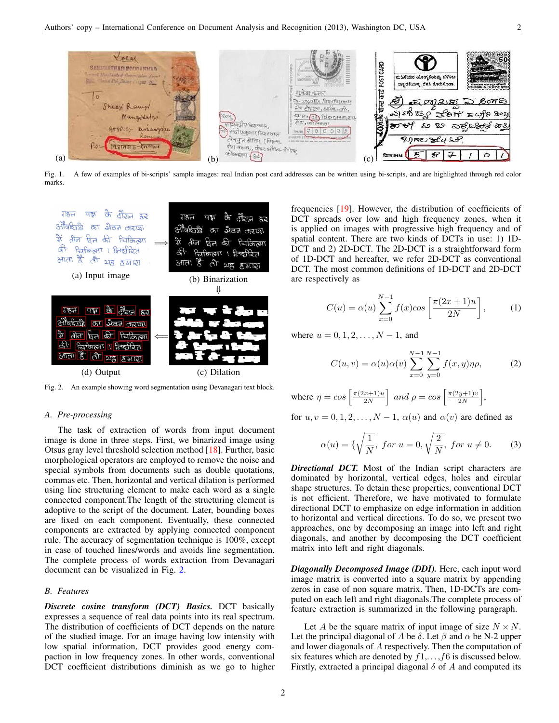

Fig. 1. A few of examples of bi-scripts' sample images: real Indian post card addresses can be written using bi-scripts, and are highlighted through red color marks.

<span id="page-2-0"></span>

<span id="page-2-1"></span>Fig. 2. An example showing word segmentation using Devanagari text block.

#### *A. Pre-processing*

The task of extraction of words from input document image is done in three steps. First, we binarized image using Otsus gray level threshold selection method [\[18\]](#page-5-11). Further, basic morphological operators are employed to remove the noise and special symbols from documents such as double quotations, commas etc. Then, horizontal and vertical dilation is performed using line structuring element to make each word as a single connected component.The length of the structuring element is adoptive to the script of the document. Later, bounding boxes are fixed on each component. Eventually, these connected components are extracted by applying connected component rule. The accuracy of segmentation technique is 100%, except in case of touched lines/words and avoids line segmentation. The complete process of words extraction from Devanagari document can be visualized in Fig. [2.](#page-2-1)

#### *B. Features*

*Discrete cosine transform (DCT) Basics.* DCT basically expresses a sequence of real data points into its real spectrum. The distribution of coefficients of DCT depends on the nature of the studied image. For an image having low intensity with low spatial information, DCT provides good energy compaction in low frequency zones. In other words, conventional DCT coefficient distributions diminish as we go to higher frequencies [\[19\]](#page-5-12). However, the distribution of coefficients of DCT spreads over low and high frequency zones, when it is applied on images with progressive high frequency and of spatial content. There are two kinds of DCTs in use: 1) 1D-DCT and 2) 2D-DCT. The 2D-DCT is a straightforward form of 1D-DCT and hereafter, we refer 2D-DCT as conventional DCT. The most common definitions of 1D-DCT and 2D-DCT are respectively as

$$
C(u) = \alpha(u) \sum_{x=0}^{N-1} f(x) \cos\left[\frac{\pi(2x+1)u}{2N}\right],\tag{1}
$$

where  $u = 0, 1, 2, \ldots, N - 1$ , and

$$
C(u, v) = \alpha(u)\alpha(v) \sum_{x=0}^{N-1} \sum_{y=0}^{N-1} f(x, y)\eta \rho,
$$
 (2)

where  $\eta = \cos \left( \frac{\pi (2x+1) u}{2N} \right)$  $\left[\frac{x+1)u}{2N}\right]$  and  $\rho = \cos\left[\frac{\pi(2y+1)v}{2N}\right]$  $rac{y+1)v}{2N}\bigg],$ 

for  $u, v = 0, 1, 2, \dots, N - 1$ ,  $\alpha(u)$  and  $\alpha(v)$  are defined as

$$
\alpha(u) = \{ \sqrt{\frac{1}{N}}, \text{ for } u = 0, \sqrt{\frac{2}{N}}, \text{ for } u \neq 0. \tag{3} \}
$$

*Directional DCT.* Most of the Indian script characters are dominated by horizontal, vertical edges, holes and circular shape structures. To detain these properties, conventional DCT is not efficient. Therefore, we have motivated to formulate directional DCT to emphasize on edge information in addition to horizontal and vertical directions. To do so, we present two approaches, one by decomposing an image into left and right diagonals, and another by decomposing the DCT coefficient matrix into left and right diagonals.

*Diagonally Decomposed Image (DDI).* Here, each input word image matrix is converted into a square matrix by appending zeros in case of non square matrix. Then, 1D-DCTs are computed on each left and right diagonals.The complete process of feature extraction is summarized in the following paragraph.

Let A be the square matrix of input image of size  $N \times N$ . Let the principal diagonal of A be  $\delta$ . Let  $\beta$  and  $\alpha$  be N-2 upper and lower diagonals of A respectively. Then the computation of six features which are denoted by  $f1, \ldots, f6$  is discussed below. Firstly, extracted a principal diagonal  $\delta$  of A and computed its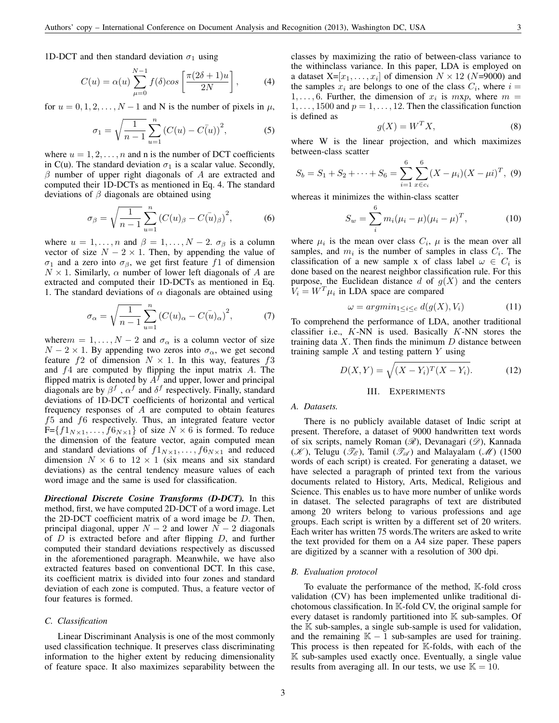1D-DCT and then standard deviation  $\sigma_1$  using

$$
C(u) = \alpha(u) \sum_{\mu=0}^{N-1} f(\delta) \cos\left[\frac{\pi(2\delta+1)u}{2N}\right],
$$
 (4)

for  $u = 0, 1, 2, \dots, N - 1$  and N is the number of pixels in  $\mu$ ,

$$
\sigma_1 = \sqrt{\frac{1}{n-1}} \sum_{u=1}^n (C(u) - C(u))^2, \tag{5}
$$

where  $u = 1, 2, \dots, n$  and n is the number of DCT coefficients in C(u). The standard deviation  $\sigma_1$  is a scalar value. Secondly,  $\beta$  number of upper right diagonals of A are extracted and computed their 1D-DCTs as mentioned in Eq. 4. The standard deviations of  $\beta$  diagonals are obtained using

$$
\sigma_{\beta} = \sqrt{\frac{1}{n-1}} \sum_{u=1}^{n} (C(u)_{\beta} - C(u)_{\beta})^{2},
$$
 (6)

where  $u = 1, \ldots, n$  and  $\beta = 1, \ldots, N - 2$ .  $\sigma_{\beta}$  is a column vector of size  $N - 2 \times 1$ . Then, by appending the value of σ<sub>1</sub> and a zero into σ<sub>β</sub>, we get first feature f 1 of dimension  $N \times 1$ . Similarly,  $\alpha$  number of lower left diagonals of A are extracted and computed their 1D-DCTs as mentioned in Eq. 1. The standard deviations of  $\alpha$  diagonals are obtained using

$$
\sigma_{\alpha} = \sqrt{\frac{1}{n-1}} \sum_{u=1}^{n} \left( C(u)_{\alpha} - C(u)_{\alpha} \right)^2, \tag{7}
$$

where  $m = 1, \ldots, N - 2$  and  $\sigma_{\alpha}$  is a column vector of size  $N - 2 \times 1$ . By appending two zeros into  $\sigma_{\alpha}$ , we get second feature f2 of dimension  $N \times 1$ . In this way, features f3 and  $f_4$  are computed by flipping the input matrix A. The flipped matrix is denoted by  $A<sup>f</sup>$  and upper, lower and principal diagonals are by  $\beta^f$ ,  $\alpha^f$  and  $\delta^f$  respectively. Finally, standard deviations of 1D-DCT coefficients of horizontal and vertical frequency responses of  $A$  are computed to obtain features f5 and f6 respectively. Thus, an integrated feature vector  $F = \{f1_{N\times1}, \ldots, f6_{N\times1}\}\$  of size  $N \times 6$  is formed. To reduce the dimension of the feature vector, again computed mean and standard deviations of  $f1_{N\times 1}, \ldots, f6_{N\times 1}$  and reduced dimension  $N \times 6$  to  $12 \times 1$  (six means and six standard deviations) as the central tendency measure values of each word image and the same is used for classification.

*Directional Discrete Cosine Transforms (D-DCT).* In this method, first, we have computed 2D-DCT of a word image. Let the 2D-DCT coefficient matrix of a word image be  $D$ . Then, principal diagonal, upper  $N - 2$  and lower  $N - 2$  diagonals of  $D$  is extracted before and after flipping  $D$ , and further computed their standard deviations respectively as discussed in the aforementioned paragraph. Meanwhile, we have also extracted features based on conventional DCT. In this case, its coefficient matrix is divided into four zones and standard deviation of each zone is computed. Thus, a feature vector of four features is formed.

#### *C. Classification*

Linear Discriminant Analysis is one of the most commonly used classification technique. It preserves class discriminating information to the higher extent by reducing dimensionality of feature space. It also maximizes separability between the classes by maximizing the ratio of between-class variance to the withinclass variance. In this paper, LDA is employed on a dataset  $X=[x_1,\ldots,x_i]$  of dimension  $N \times 12$  (N=9000) and the samples  $x_i$  are belongs to one of the class  $C_i$ , where  $i =$  $1, \ldots, 6$ . Further, the dimension of  $x_i$  is  $mxp$ , where  $m =$  $1, \ldots, 1500$  and  $p = 1, \ldots, 12$ . Then the classification function is defined as

$$
g(X) = W^T X,\t\t(8)
$$

where W is the linear projection, and which maximizes between-class scatter

$$
S_b = S_1 + S_2 + \dots + S_6 = \sum_{i=1}^{6} \sum_{x \in c_i}^{6} (X - \mu_i)(X - \mu i)^T
$$
, (9)

whereas it minimizes the within-class scatter

$$
S_w = \sum_{i}^{6} m_i (\mu_i - \mu) (\mu_i - \mu)^T, \qquad (10)
$$

where  $\mu_i$  is the mean over class  $C_i$ ,  $\mu$  is the mean over all samples, and  $m_i$  is the number of samples in class  $C_i$ . The classification of a new sample x of class label  $\omega \in C_i$  is done based on the nearest neighbor classification rule. For this purpose, the Euclidean distance d of  $g(X)$  and the centers  $V_i = W^T \mu_i$  in LDA space are compared

$$
\omega = argmin_{1 \le i \le c} d(g(X), V_i) \tag{11}
$$

To comprehend the performance of LDA, another traditional classifier i.e.,  $K-NN$  is used. Basically  $K-NN$  stores the training data  $X$ . Then finds the minimum  $D$  distance between training sample  $X$  and testing pattern  $Y$  using

$$
D(X,Y) = \sqrt{(X - Y_i)^T (X - Y_i)}.
$$
 (12)

#### III. EXPERIMENTS

#### <span id="page-3-0"></span>*A. Datasets.*

There is no publicly available dataset of Indic script at present. Therefore, a dataset of 9000 handwritten text words of six scripts, namely Roman (A), Devanagari (9), Kannada  $(\mathscr{K})$ , Telugu  $(\mathscr{T}_{\mathscr{E}})$ , Tamil  $(\mathscr{T}_{\mathscr{A}})$  and Malayalam  $(\mathscr{M})$  (1500 words of each script) is created. For generating a dataset, we have selected a paragraph of printed text from the various documents related to History, Arts, Medical, Religious and Science. This enables us to have more number of unlike words in dataset. The selected paragraphs of text are distributed among 20 writers belong to various professions and age groups. Each script is written by a different set of 20 writers. Each writer has written 75 words.The writers are asked to write the text provided for them on a A4 size paper. These papers are digitized by a scanner with a resolution of 300 dpi.

#### *B. Evaluation protocol*

To evaluate the performance of the method, K-fold cross validation (CV) has been implemented unlike traditional dichotomous classification. In K-fold CV, the original sample for every dataset is randomly partitioned into  $K$  sub-samples. Of the  $K$  sub-samples, a single sub-sample is used for validation, and the remaining  $K - 1$  sub-samples are used for training. This process is then repeated for K-folds, with each of the  $K$  sub-samples used exactly once. Eventually, a single value results from averaging all. In our tests, we use  $\mathbb{K} = 10$ .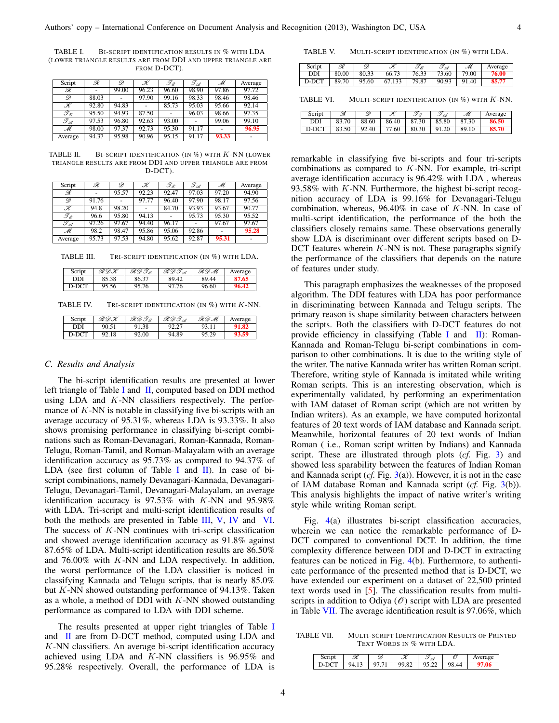<span id="page-4-0"></span>TABLE I. BI-SCRIPT IDENTIFICATION RESULTS IN % WITH LDA (LOWER TRIANGLE RESULTS ARE FROM DDI AND UPPER TRIANGLE ARE FROM D-DCT).

| Script                      | ℛ     | D     | $\mathscr K$ | $\mathscr{T}_{\mathscr{E}}$ | T A   | M     | Average |
|-----------------------------|-------|-------|--------------|-----------------------------|-------|-------|---------|
| R                           |       | 99.00 | 96.23        | 96.60                       | 98.90 | 97.86 | 97.72   |
| D                           | 88.03 |       | 97.90        | 99.16                       | 98.33 | 98.46 | 98.46   |
| K                           | 92.80 | 94.83 |              | 85.73                       | 95.03 | 95.66 | 92.14   |
| $\mathscr{T}_{\mathscr{E}}$ | 95.50 | 94.93 | 87.50        |                             | 96.03 | 98.66 | 97.35   |
| $\mathscr{T}_{\mathscr{A}}$ | 97.53 | 96.80 | 92.63        | 93.00                       |       | 99.06 | 99.10   |
| M                           | 98.00 | 97.37 | 92.73        | 95.30                       | 91.17 | ٠     | 96.95   |
| Average                     | 94.37 | 95.98 | 90.96        | 95.15                       | 91.17 | 93.33 |         |

<span id="page-4-1"></span>TABLE II. BI-SCRIPT IDENTIFICATION (IN  $%$ ) with K-NN (LOWER TRIANGLE RESULTS ARE FROM DDI AND UPPER TRIANGLE ARE FROM D-DCT).

| Script                      | R     | D     | K     | $\mathscr{T}_{\mathscr{E}}$ | TA    | M     | Average |
|-----------------------------|-------|-------|-------|-----------------------------|-------|-------|---------|
| ℛ                           |       | 95.57 | 92.23 | 92.47                       | 97.03 | 97.20 | 94.90   |
| D                           | 91.76 |       | 97.77 | 96.40                       | 97.90 | 98.17 | 97.56   |
| K                           | 94.8  | 98.20 |       | 84.70                       | 93.93 | 93.67 | 90.77   |
| $\mathscr{T}_{\mathscr{E}}$ | 96.6  | 95.80 | 94.13 |                             | 95.73 | 95.30 | 95.52   |
| $\mathscr{T}_{\mathscr{A}}$ | 97.26 | 97.67 | 94.40 | 96.17                       |       | 97.67 | 97.67   |
| M                           | 98.2  | 98.47 | 95.86 | 95.06                       | 92.86 |       | 95.28   |
| Average                     | 95.73 | 97.53 | 94.80 | 95.62                       | 92.87 | 95.31 |         |

TABLE III. TRI-SCRIPT IDENTIFICATION (IN %) WITH LDA.

<span id="page-4-2"></span>

| Script | ヌのH   | スのファ  | ・スのフィ | RDM   | Average |
|--------|-------|-------|-------|-------|---------|
| DDI    | 85.38 | 86.37 | 89.42 | 89.44 | 87.65   |
| D-DCT  | 95.56 | 95.76 | 97.76 | 96.60 | 96.42   |

TABLE IV. TRI-SCRIPT IDENTIFICATION (IN %) WITH K-NN.

<span id="page-4-4"></span>

| Script | ヌのH   | スのフォ  | スのフィ  | ふかへ   | Average |
|--------|-------|-------|-------|-------|---------|
| DDI    | 90.51 | 91.38 |       | 93.11 | 91.82   |
| D-DCT  | 92.18 | 92.00 | 94.89 | 95.29 | 93.59   |

#### *C. Results and Analysis*

The bi-script identification results are presented at lower left triangle of Table [I](#page-4-0) and  $\,$ [II,](#page-4-1) computed based on DDI method using LDA and  $K$ -NN classifiers respectively. The performance of  $K$ -NN is notable in classifying five bi-scripts with an average accuracy of 95.31%, whereas LDA is 93.33%. It also shows promising performance in classifying bi-script combinations such as Roman-Devanagari, Roman-Kannada, Roman-Telugu, Roman-Tamil, and Roman-Malayalam with an average identification accuracy as 95.73% as compared to 94.37% of LDA (see first column of Table [I](#page-4-0) and [II\)](#page-4-1). In case of biscript combinations, namely Devanagari-Kannada, Devanagari-Telugu, Devanagari-Tamil, Devanagari-Malayalam, an average identification accuracy is  $97.53\%$  with K-NN and  $95.98\%$ with LDA. Tri-script and multi-script identification results of both the methods are presented in Table [III,](#page-4-2) [V,](#page-4-3) [IV](#page-4-4) and [VI.](#page-4-5) The success of  $K-NN$  continues with tri-script classification and showed average identification accuracy as 91.8% against 87.65% of LDA. Multi-script identification results are 86.50% and 76.00% with K-NN and LDA respectively. In addition, the worst performance of the LDA classifier is noticed in classifying Kannada and Telugu scripts, that is nearly 85.0% but  $K$ -NN showed outstanding performance of 94.13%. Taken as a whole, a method of DDI with  $K-NN$  showed outstanding performance as compared to LDA with DDI scheme.

The results presented at upper right triangles of Table [I](#page-4-0) and [II](#page-4-1) are from D-DCT method, computed using LDA and K-NN classifiers. An average bi-script identification accuracy achieved using LDA and K-NN classifiers is 96.95% and 95.28% respectively. Overall, the performance of LDA is

<span id="page-4-3"></span>TABLE V. MULTI-SCRIPT IDENTIFICATION (IN %) WITH LDA.

| Script | ℛ     | D     | K      | Tz    | 97<br>A<br>◡ | M     | Average |
|--------|-------|-------|--------|-------|--------------|-------|---------|
| DDI    | 80.00 | 80.33 | 66.73  | 76.33 | 73.60        | 79.00 | 76.00   |
| D-DCT  | 89.70 | 95.60 | 67.133 | 79.87 | 90.93        | 91.40 | 85.77   |

<span id="page-4-5"></span>TABLE VI. MULTI-SCRIPT IDENTIFICATION (IN  $%$ ) with K-NN.

| Script | ℛ     | D     | K     | T&    | T A   | M     | Average |
|--------|-------|-------|-------|-------|-------|-------|---------|
| DDI    | 83.70 | 88.60 | 86.40 | 87.30 | 85.80 | 87.30 | 86.50   |
| D-DCT  | 83.50 | 92.40 | 77.60 | 80.30 | 91.20 | 89.10 | 85.70   |

remarkable in classifying five bi-scripts and four tri-scripts combinations as compared to K-NN. For example, tri-script average identification accuracy is 96.42% with LDA , whereas 93.58% with  $K$ -NN. Furthermore, the highest bi-script recognition accuracy of LDA is 99.16% for Devanagari-Telugu combination, whereas,  $96.40\%$  in case of K-NN. In case of multi-script identification, the performance of the both the classifiers closely remains same. These observations generally show LDA is discriminant over different scripts based on D-DCT features wherein  $K$ -NN is not. These paragraphs signify the performance of the classifiers that depends on the nature of features under study.

This paragraph emphasizes the weaknesses of the proposed algorithm. The DDI features with LDA has poor performance in discriminating between Kannada and Telugu scripts. The primary reason is shape similarity between characters between the scripts. Both the classifiers with D-DCT features do not provide efficiency in classifying (Table [I](#page-4-0) and [II\)](#page-4-1): Roman-Kannada and Roman-Telugu bi-script combinations in comparison to other combinations. It is due to the writing style of the writer. The native Kannada writer has written Roman script. Therefore, writing style of Kannada is imitated while writing Roman scripts. This is an interesting observation, which is experimentally validated, by performing an experimentation with IAM dataset of Roman script (which are not written by Indian writers). As an example, we have computed horizontal features of 20 text words of IAM database and Kannada script. Meanwhile, horizontal features of 20 text words of Indian Roman ( i.e., Roman script written by Indians) and Kannada script. These are illustrated through plots (*cf.* Fig. [3\)](#page-5-13) and showed less sparability between the features of Indian Roman and Kannada script (*cf.* Fig. [3\(](#page-5-13)a)). However, it is not in the case of IAM database Roman and Kannada script (*cf.* Fig. [3\(](#page-5-13)b)). This analysis highlights the impact of native writer's writing style while writing Roman script.

Fig. [4\(](#page-5-14)a) illustrates bi-script classification accuracies, wherein we can notice the remarkable performance of D-DCT compared to conventional DCT. In addition, the time complexity difference between DDI and D-DCT in extracting features can be noticed in Fig. [4\(](#page-5-14)b). Furthermore, to authenticate performance of the presented method that is D-DCT, we have extended our experiment on a dataset of 22,500 printed text words used in [\[5\]](#page-5-15). The classification results from multiscripts in addition to Odiya  $(\mathcal{O})$  script with LDA are presented in Table [VII.](#page-4-6) The average identification result is 97.06%, which

TABLE VII. MULTI-SCRIPT IDENTIFICATION RESULTS OF PRINTED TEXT WORDS IN % WITH LDA.

<span id="page-4-6"></span>

| Script | R     | 9     | K     | 54                |       | Average |
|--------|-------|-------|-------|-------------------|-------|---------|
| D-DCT  | 94.13 | 97 71 | 99.82 | $\frac{1}{95.22}$ | 98.44 |         |